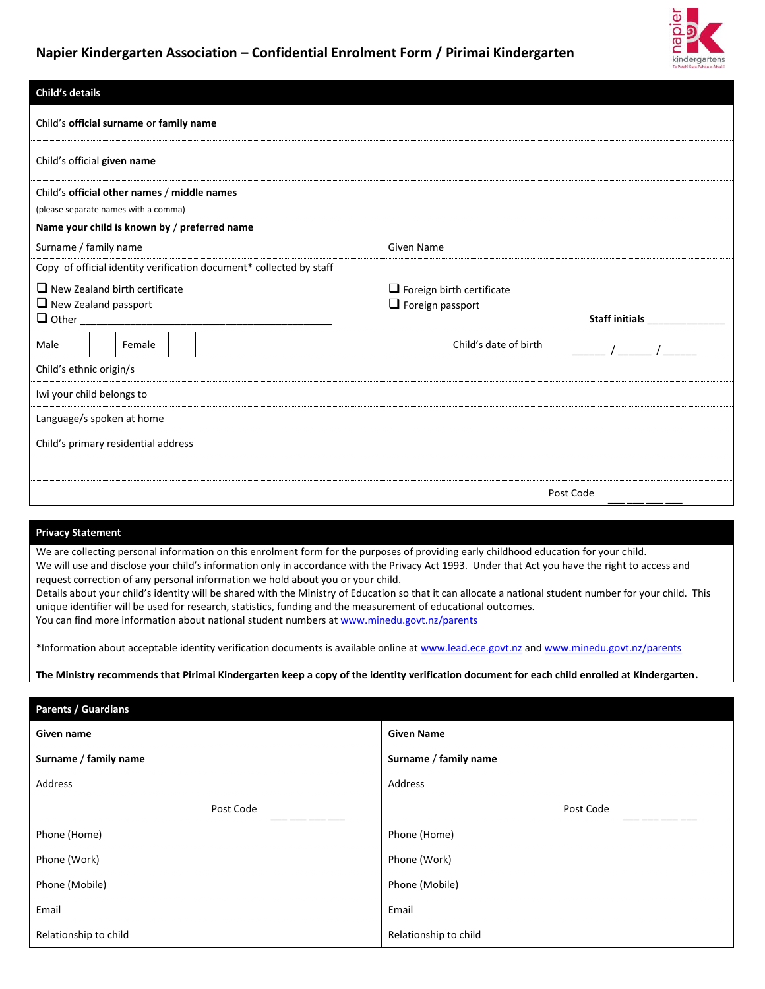

| Child's details                                                     |                                             |                                                                     |                                                                                                           |  |
|---------------------------------------------------------------------|---------------------------------------------|---------------------------------------------------------------------|-----------------------------------------------------------------------------------------------------------|--|
|                                                                     | Child's official surname or family name     |                                                                     |                                                                                                           |  |
| Child's official given name                                         |                                             |                                                                     |                                                                                                           |  |
|                                                                     | Child's official other names / middle names |                                                                     |                                                                                                           |  |
|                                                                     | (please separate names with a comma)        |                                                                     |                                                                                                           |  |
|                                                                     |                                             | Name your child is known by / preferred name                        |                                                                                                           |  |
| Surname / family name                                               |                                             |                                                                     | <b>Given Name</b><br>$\Box$ Foreign birth certificate<br>$\Box$ Foreign passport<br>Child's date of birth |  |
|                                                                     |                                             | Copy of official identity verification document* collected by staff |                                                                                                           |  |
| $\Box$ New Zealand birth certificate<br>$\Box$ New Zealand passport |                                             |                                                                     |                                                                                                           |  |
| Male                                                                | Female                                      |                                                                     |                                                                                                           |  |
| Child's ethnic origin/s                                             |                                             |                                                                     |                                                                                                           |  |
| Iwi your child belongs to                                           |                                             |                                                                     |                                                                                                           |  |
| Language/s spoken at home                                           |                                             |                                                                     |                                                                                                           |  |
| Child's primary residential address                                 |                                             |                                                                     |                                                                                                           |  |
|                                                                     |                                             |                                                                     |                                                                                                           |  |
|                                                                     |                                             |                                                                     | Post Code                                                                                                 |  |

#### **Privacy Statement**

We are collecting personal information on this enrolment form for the purposes of providing early childhood education for your child. We will use and disclose your child's information only in accordance with the Privacy Act 1993. Under that Act you have the right to access and request correction of any personal information we hold about you or your child. Details about your child's identity will be shared with the Ministry of Education so that it can allocate a national student number for your child. This unique identifier will be used for research, statistics, funding and the measurement of educational outcomes.

You can find more information about national student numbers a[t www.minedu.govt.nz/parents](http://www.minedu.govt.nz/parents)

\*Information about acceptable identity verification documents is available online at [www.lead.ece.govt.nz](http://www.lead.ece.govt.nz/) and [www.minedu.govt.nz/parents](http://www.minedu.govt.nz/parents)

**The Ministry recommends that Pirimai Kindergarten keep a copy of the identity verification document for each child enrolled at Kindergarten.**

| Parents / Guardians   |                       |
|-----------------------|-----------------------|
| Given name            | <b>Given Name</b>     |
| Surname / family name | Surname / family name |
| Address               | Address               |
| Post Code             | Post Code             |
| Phone (Home)          | Phone (Home)          |
| Phone (Work)          | Phone (Work)          |
| Phone (Mobile)        | Phone (Mobile)        |
| Email                 | Email                 |
| Relationship to child | Relationship to child |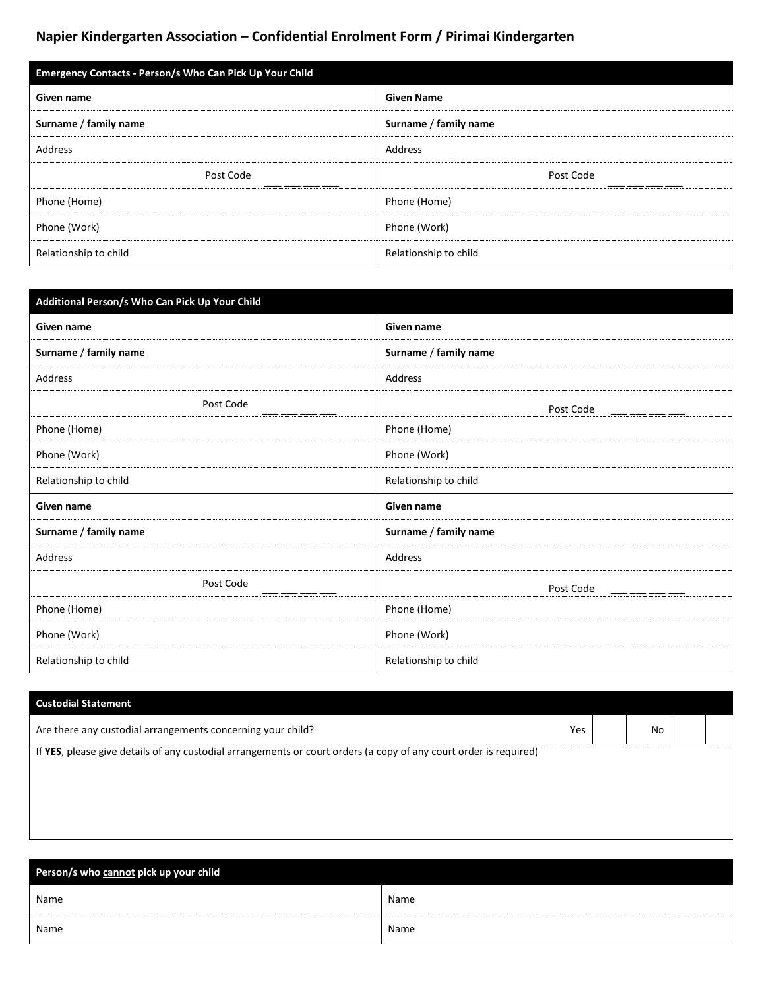| <b>Emergency Contacts - Person/s Who Can Pick Up Your Child</b> |                       |  |  |  |  |
|-----------------------------------------------------------------|-----------------------|--|--|--|--|
| Given name                                                      | <b>Given Name</b>     |  |  |  |  |
| Surname / family name                                           | Surname / family name |  |  |  |  |
| Address                                                         | Address               |  |  |  |  |
| Post Code                                                       | Post Code             |  |  |  |  |
| Phone (Home)                                                    | Phone (Home)          |  |  |  |  |
| Phone (Work)                                                    | Phone (Work)          |  |  |  |  |
| Relationship to child                                           | Relationship to child |  |  |  |  |

| Additional Person/s Who Can Pick Up Your Child |                       |
|------------------------------------------------|-----------------------|
| Given name                                     | Given name            |
| Surname / family name                          | Surname / family name |
| <b>Address</b>                                 | Address               |
| Post Code                                      | Post Code             |
| Phone (Home)                                   | Phone (Home)          |
| Phone (Work)                                   | Phone (Work)          |
| Relationship to child                          | Relationship to child |
| Given name                                     | Given name            |
| Surname / family name                          | Surname / family name |
| Address                                        | Address               |
| Post Code                                      | Post Code             |
| Phone (Home)                                   | Phone (Home)          |
| Phone (Work)                                   | Phone (Work)          |
| Relationship to child                          | Relationship to child |

| <b>Custodial Statement</b>                                                                                        |     |  |    |  |
|-------------------------------------------------------------------------------------------------------------------|-----|--|----|--|
| Are there any custodial arrangements concerning your child?                                                       | Yes |  | No |  |
| If YES, please give details of any custodial arrangements or court orders (a copy of any court order is required) |     |  |    |  |
|                                                                                                                   |     |  |    |  |
|                                                                                                                   |     |  |    |  |
|                                                                                                                   |     |  |    |  |

| Person/s who cannot pick up your child |      |  |  |  |  |  |
|----------------------------------------|------|--|--|--|--|--|
| Name                                   | Name |  |  |  |  |  |
| Name                                   | Name |  |  |  |  |  |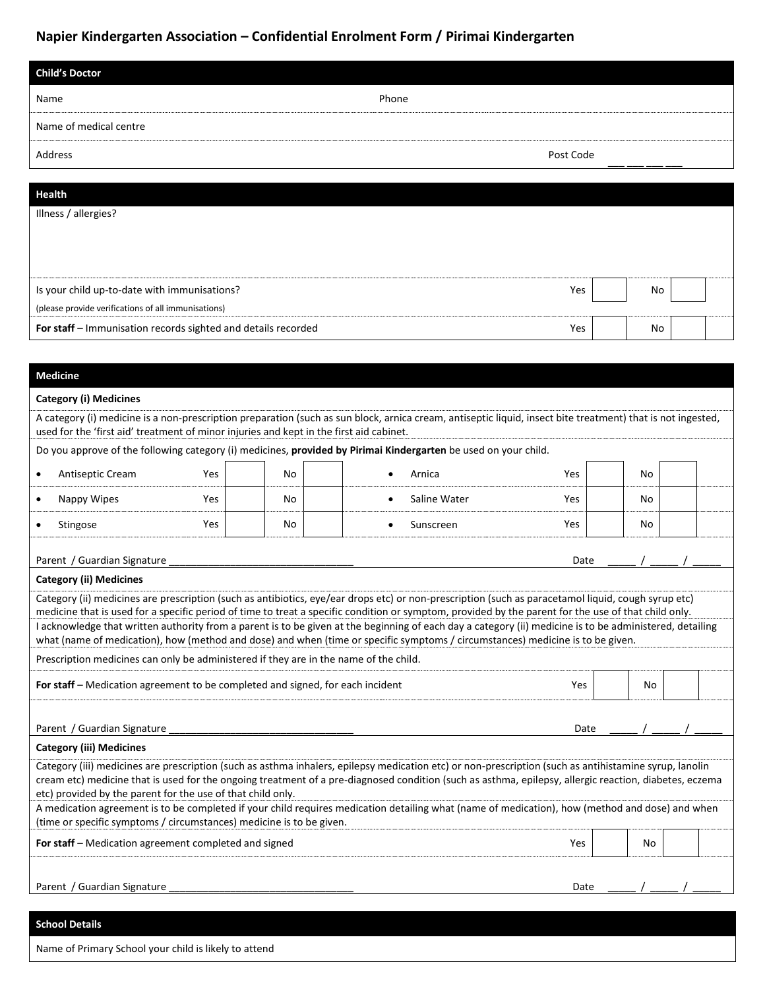| <b>Child's Doctor</b>  |           |
|------------------------|-----------|
| Name                   | Phone     |
| Name of medical centre |           |
| Address                | Post Code |
|                        |           |
| <b>Health</b>          |           |

| Illness / allergies?                                          |     |    |  |
|---------------------------------------------------------------|-----|----|--|
|                                                               |     |    |  |
|                                                               |     |    |  |
|                                                               |     |    |  |
| Is your child up-to-date with immunisations?                  | Yes | No |  |
| (please provide verifications of all immunisations)           |     |    |  |
| For staff - Immunisation records sighted and details recorded | Yes | No |  |

#### **Medicine**

#### **Category (i) Medicines**

A category (i) medicine is a non-prescription preparation (such as sun block, arnica cream, antiseptic liquid, insect bite treatment) that is not ingested, used for the 'first aid' treatment of minor injuries and kept in the first aid cabinet.

|                                                                                                                                                                                                                         |                                                                                       |     |    | Do you approve of the following category (i) medicines, provided by Pirimai Kindergarten be used on your child.                                                                                                                                                                                                  |      |    |  |  |
|-------------------------------------------------------------------------------------------------------------------------------------------------------------------------------------------------------------------------|---------------------------------------------------------------------------------------|-----|----|------------------------------------------------------------------------------------------------------------------------------------------------------------------------------------------------------------------------------------------------------------------------------------------------------------------|------|----|--|--|
|                                                                                                                                                                                                                         | Antiseptic Cream                                                                      | Yes | No | Arnica<br>$\bullet$                                                                                                                                                                                                                                                                                              | Yes  | No |  |  |
| $\bullet$                                                                                                                                                                                                               | Nappy Wipes                                                                           | Yes | No | Saline Water<br>$\bullet$                                                                                                                                                                                                                                                                                        | Yes  | No |  |  |
|                                                                                                                                                                                                                         | Stingose                                                                              | Yes | No | Sunscreen<br>$\bullet$                                                                                                                                                                                                                                                                                           | Yes  | No |  |  |
|                                                                                                                                                                                                                         | Parent / Guardian Signature                                                           |     |    |                                                                                                                                                                                                                                                                                                                  | Date |    |  |  |
|                                                                                                                                                                                                                         | <b>Category (ii) Medicines</b>                                                        |     |    |                                                                                                                                                                                                                                                                                                                  |      |    |  |  |
|                                                                                                                                                                                                                         |                                                                                       |     |    | Category (ii) medicines are prescription (such as antibiotics, eye/ear drops etc) or non-prescription (such as paracetamol liquid, cough syrup etc)<br>medicine that is used for a specific period of time to treat a specific condition or symptom, provided by the parent for the use of that child only.      |      |    |  |  |
|                                                                                                                                                                                                                         |                                                                                       |     |    | I acknowledge that written authority from a parent is to be given at the beginning of each day a category (ii) medicine is to be administered, detailing<br>what (name of medication), how (method and dose) and when (time or specific symptoms / circumstances) medicine is to be given.                       |      |    |  |  |
|                                                                                                                                                                                                                         | Prescription medicines can only be administered if they are in the name of the child. |     |    |                                                                                                                                                                                                                                                                                                                  |      |    |  |  |
| For staff - Medication agreement to be completed and signed, for each incident<br>Yes<br>No                                                                                                                             |                                                                                       |     |    |                                                                                                                                                                                                                                                                                                                  |      |    |  |  |
|                                                                                                                                                                                                                         |                                                                                       |     |    |                                                                                                                                                                                                                                                                                                                  |      |    |  |  |
|                                                                                                                                                                                                                         | Parent / Guardian Signature<br>Date                                                   |     |    |                                                                                                                                                                                                                                                                                                                  |      |    |  |  |
|                                                                                                                                                                                                                         | <b>Category (iii) Medicines</b>                                                       |     |    |                                                                                                                                                                                                                                                                                                                  |      |    |  |  |
|                                                                                                                                                                                                                         | etc) provided by the parent for the use of that child only.                           |     |    | Category (iii) medicines are prescription (such as asthma inhalers, epilepsy medication etc) or non-prescription (such as antihistamine syrup, lanolin<br>cream etc) medicine that is used for the ongoing treatment of a pre-diagnosed condition (such as asthma, epilepsy, allergic reaction, diabetes, eczema |      |    |  |  |
| A medication agreement is to be completed if your child requires medication detailing what (name of medication), how (method and dose) and when<br>(time or specific symptoms / circumstances) medicine is to be given. |                                                                                       |     |    |                                                                                                                                                                                                                                                                                                                  |      |    |  |  |
| For staff – Medication agreement completed and signed<br>Yes<br>No                                                                                                                                                      |                                                                                       |     |    |                                                                                                                                                                                                                                                                                                                  |      |    |  |  |
|                                                                                                                                                                                                                         |                                                                                       |     |    |                                                                                                                                                                                                                                                                                                                  |      |    |  |  |
|                                                                                                                                                                                                                         | Parent / Guardian Signature                                                           |     |    |                                                                                                                                                                                                                                                                                                                  | Date |    |  |  |

#### **School Details**

Name of Primary School your child is likely to attend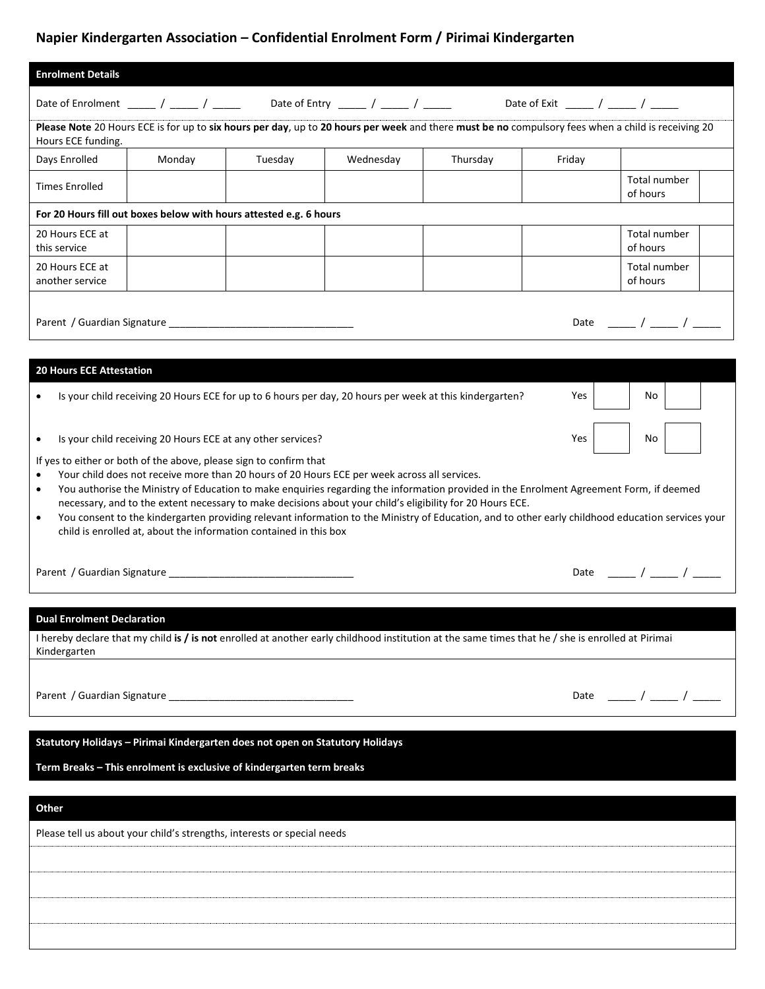| <b>Enrolment Details</b>           |                                                                                                                                                                                        |                                                                                                                                                                                                                                                                                                                                                                                                                           |           |          |        |                                                                                                                                                   |  |
|------------------------------------|----------------------------------------------------------------------------------------------------------------------------------------------------------------------------------------|---------------------------------------------------------------------------------------------------------------------------------------------------------------------------------------------------------------------------------------------------------------------------------------------------------------------------------------------------------------------------------------------------------------------------|-----------|----------|--------|---------------------------------------------------------------------------------------------------------------------------------------------------|--|
|                                    |                                                                                                                                                                                        | Date of Enrolment ______ / _____ / _____ Date of Entry _____ / _____ / _____ Date of Exit _____ / _____ / _____                                                                                                                                                                                                                                                                                                           |           |          |        |                                                                                                                                                   |  |
| Hours ECE funding.                 |                                                                                                                                                                                        | Please Note 20 Hours ECE is for up to six hours per day, up to 20 hours per week and there must be no compulsory fees when a child is receiving 20                                                                                                                                                                                                                                                                        |           |          |        |                                                                                                                                                   |  |
| Days Enrolled                      | Monday                                                                                                                                                                                 | Tuesday                                                                                                                                                                                                                                                                                                                                                                                                                   | Wednesday | Thursday | Friday |                                                                                                                                                   |  |
| <b>Times Enrolled</b>              |                                                                                                                                                                                        |                                                                                                                                                                                                                                                                                                                                                                                                                           |           |          |        | Total number<br>of hours                                                                                                                          |  |
|                                    |                                                                                                                                                                                        | For 20 Hours fill out boxes below with hours attested e.g. 6 hours                                                                                                                                                                                                                                                                                                                                                        |           |          |        |                                                                                                                                                   |  |
| 20 Hours ECE at<br>this service    |                                                                                                                                                                                        |                                                                                                                                                                                                                                                                                                                                                                                                                           |           |          |        | Total number<br>of hours                                                                                                                          |  |
| 20 Hours ECE at<br>another service |                                                                                                                                                                                        |                                                                                                                                                                                                                                                                                                                                                                                                                           |           |          |        | Total number<br>of hours                                                                                                                          |  |
|                                    |                                                                                                                                                                                        |                                                                                                                                                                                                                                                                                                                                                                                                                           |           |          |        | Date $\frac{1}{\sqrt{1-\frac{1}{2}}}$                                                                                                             |  |
| <b>20 Hours ECE Attestation</b>    |                                                                                                                                                                                        |                                                                                                                                                                                                                                                                                                                                                                                                                           |           |          |        |                                                                                                                                                   |  |
| $\bullet$                          |                                                                                                                                                                                        | Is your child receiving 20 Hours ECE for up to 6 hours per day, 20 hours per week at this kindergarten?                                                                                                                                                                                                                                                                                                                   |           |          | Yes    | No                                                                                                                                                |  |
| ٠                                  | Is your child receiving 20 Hours ECE at any other services?                                                                                                                            |                                                                                                                                                                                                                                                                                                                                                                                                                           |           |          | Yes    | No                                                                                                                                                |  |
| $\bullet$<br>$\bullet$<br>٠        |                                                                                                                                                                                        | Your child does not receive more than 20 hours of 20 Hours ECE per week across all services.<br>You authorise the Ministry of Education to make enquiries regarding the information provided in the Enrolment Agreement Form, if deemed<br>necessary, and to the extent necessary to make decisions about your child's eligibility for 20 Hours ECE.<br>child is enrolled at, about the information contained in this box |           |          |        | You consent to the kindergarten providing relevant information to the Ministry of Education, and to other early childhood education services your |  |
|                                    |                                                                                                                                                                                        |                                                                                                                                                                                                                                                                                                                                                                                                                           |           |          |        |                                                                                                                                                   |  |
| Kindergarten                       | <b>Dual Enrolment Declaration</b><br>I hereby declare that my child is / is not enrolled at another early childhood institution at the same times that he / she is enrolled at Pirimai |                                                                                                                                                                                                                                                                                                                                                                                                                           |           |          |        |                                                                                                                                                   |  |
|                                    |                                                                                                                                                                                        |                                                                                                                                                                                                                                                                                                                                                                                                                           |           |          |        | Date _____ / _____ / _____                                                                                                                        |  |
|                                    |                                                                                                                                                                                        | Statutory Holidays - Pirimai Kindergarten does not open on Statutory Holidays                                                                                                                                                                                                                                                                                                                                             |           |          |        |                                                                                                                                                   |  |
|                                    |                                                                                                                                                                                        | Term Breaks - This enrolment is exclusive of kindergarten term breaks                                                                                                                                                                                                                                                                                                                                                     |           |          |        |                                                                                                                                                   |  |
| Other                              |                                                                                                                                                                                        |                                                                                                                                                                                                                                                                                                                                                                                                                           |           |          |        |                                                                                                                                                   |  |
|                                    |                                                                                                                                                                                        | Please tell us about your child's strengths, interests or special needs                                                                                                                                                                                                                                                                                                                                                   |           |          |        |                                                                                                                                                   |  |
|                                    |                                                                                                                                                                                        |                                                                                                                                                                                                                                                                                                                                                                                                                           |           |          |        |                                                                                                                                                   |  |
|                                    |                                                                                                                                                                                        |                                                                                                                                                                                                                                                                                                                                                                                                                           |           |          |        |                                                                                                                                                   |  |
|                                    |                                                                                                                                                                                        |                                                                                                                                                                                                                                                                                                                                                                                                                           |           |          |        |                                                                                                                                                   |  |